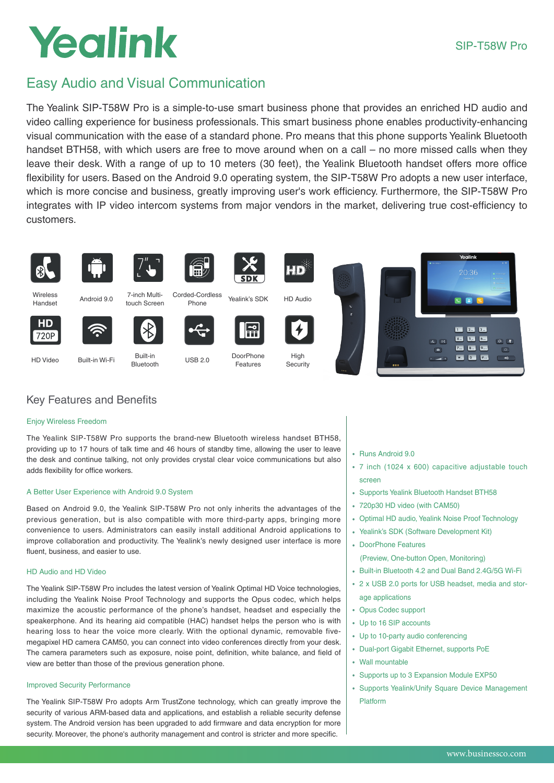# Yealink

## Easy Audio and Visual Communication

The Yealink SIP-T58W Pro is a simple-to-use smart business phone that provides an enriched HD audio and video calling experience for business professionals. This smart business phone enables productivity-enhancing visual communication with the ease of a standard phone. Pro means that this phone supports Yealink Bluetooth handset BTH58, with which users are free to move around when on a call – no more missed calls when they leave their desk. With a range of up to 10 meters (30 feet), the Yealink Bluetooth handset offers more office flexibility for users. Based on the Android 9.0 operating system, the SIP-T58W Pro adopts a new user interface, which is more concise and business, greatly improving user's work efficiency. Furthermore, the SIP-T58W Pro integrates with IP video intercom systems from major vendors in the market, delivering true cost-efficiency to customers.



Handset

**HD** 

720P





Wireless Multi-<br>Handset Android 9.0 Touch Screen



7-inch Multi-















Built-in Wi-Fi Built-in<br>Bluetooth Built-in Wi-Fi

Corded-Cordless

圃

USB 2.0 DoorPhone Features

l÷

High **Security** 

## Key Features and Benefits

### Enjoy Wireless Freedom

The Yealink SIP-T58W Pro supports the brand-new Bluetooth wireless handset BTH58, providing up to 17 hours of talk time and 46 hours of standby time, allowing the user to leave the desk and continue talking, not only provides crystal clear voice communications but also adds flexibility for office workers.

### A Better User Experience with Android 9.0 System

Based on Android 9.0, the Yealink SIP-T58W Pro not only inherits the advantages of the previous generation, but is also compatible with more third-party apps, bringing more convenience to users. Administrators can easily install additional Android applications to improve collaboration and productivity. The Yealink's newly designed user interface is more fluent, business, and easier to use.

#### HD Audio and HD Video

The Yealink SIP-T58W Pro includes the latest version of Yealink Optimal HD Voice technologies, including the Yealink Noise Proof Technology and supports the Opus codec, which helps maximize the acoustic performance of the phone's handset, headset and especially the speakerphone. And its hearing aid compatible (HAC) handset helps the person who is with hearing loss to hear the voice more clearly. With the optional dynamic, removable fivemegapixel HD camera CAM50, you can connect into video conferences directly from your desk. The camera parameters such as exposure, noise point, definition, white balance, and field of view are better than those of the previous generation phone.

#### Improved Security Performance

The Yealink SIP-T58W Pro adopts Arm TrustZone technology, which can greatly improve the security of various ARM-based data and applications, and establish a reliable security defense system. The Android version has been upgraded to add firmware and data encryption for more security. Moreover, the phone's authority management and control is stricter and more specific.

- Runs Android 9.0
- 7 inch (1024 x 600) capacitive adjustable touch screen
- Supports Yealink Bluetooth Handset BTH58
- 720p30 HD video (with CAM50)
- Optimal HD audio, Yealink Noise Proof Technology
- Yealink's SDK (Software Development Kit)
- DoorPhone Features

(Preview, One-button Open, Monitoring)

- Built-in Bluetooth 4.2 and Dual Band 2.4G/5G Wi-Fi
- 2 x USB 2.0 ports for USB headset, media and storage applications
- Opus Codec support
- Up to 16 SIP accounts
- Up to 10-party audio conferencing
- Dual-port Gigabit Ethernet, supports PoE
- Wall mountable
- Supports up to 3 Expansion Module EXP50
- Supports Yealink/Unify Square Device Management Platform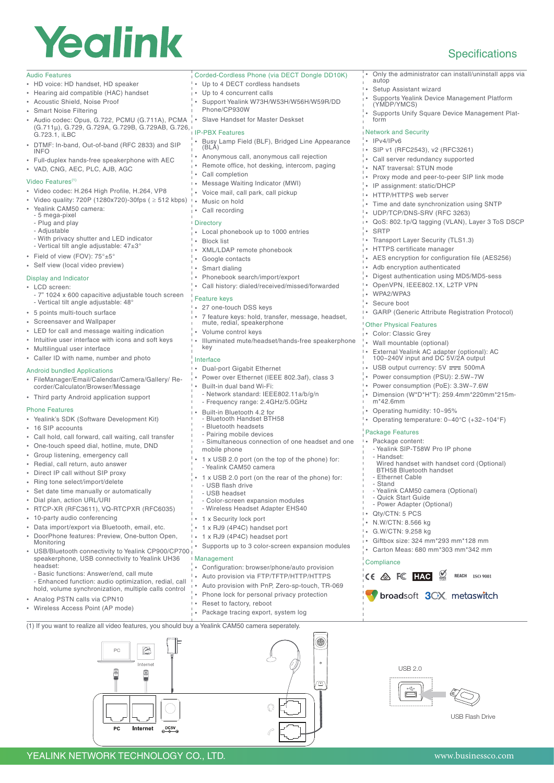# Yealink

## **Specifications**

• Only the administrator can install/uninstall apps via

• Supports Yealink Device Management Platform (YMDP/YMCS) Supports Unify Square Device Management Plat-

• Proxy mode and peer-to-peer SIP link mode

• Time and date synchronization using SNTP

• AES encryption for configuration file (AES256)

• Digest authentication using MD5/MD5-sess • OpenVPN, IEEE802.1X, L2TP VPN

GARP (Generic Attribute Registration Protocol)

• External Yealink AC adapter (optional): AC 100~240V input and DC 5V/2A output USB output currency:  $5V = 500mA$ • Power consumption (PSU): 2.5W~7W • Power consumption (PoE): 3.3W~7.6W • Dimension (W\*D\*H\*T): 259.4mm\*220mm\*215m-

• Operating temperature: 0~40°C (+32~104°F)

Wired handset with handset cord (Optional)

• Operating humidity: 10~95%

- Yealink SIP-T58W Pro IP phone

Yealink CAM50 camera (Optional)

• Giftbox size: 324 mm\*293 mm\*128 mm • Carton Meas: 680 mm\*303 mm\*342 mm

 $CE \otimes FC$  **HAC**  $\underset{\text{max}}{\otimes}$  reach iso 9001

Sproadsoft 3CX metaswitch

**BTH58 Bluetooth handset** Ethernet Cable - Stand

Quick Start Guide - Power Adapter (Optional) Qty/CTN: 5 PCS • N.W/CTN: 8.566 kg • G.W/CTN: 9.258 kg

 $UBB20$ 

F

USB Flash Drive

• QoS: 802.1p/Q tagging (VLAN), Layer 3 ToS DSCP

autop

• SRTP

• WPA2/WPA3 • Secure boot

m\*42.6mm

Package Features Package content:

Handset:

**Compliance** 

Other Physical Features Color: Classic Grey • Wall mountable (optional)

Setup Assistant wizard

• SIP v1 (RFC2543), v2 (RFC3261) • Call server redundancy supported • NAT traversal: STUN mode

• IP assignment: static/DHCP • HTTP/HTTPS web server

• UDP/TCP/DNS-SRV (RFC 3263)

• Transport Layer Security (TLS1.3) • HTTPS certificate manager

Adb encryption authenticated

Network and Security • IPv4/IPv6

#### Audio Features

- HD voice: HD handset, HD speaker
- Hearing aid compatible (HAC) handset
- Acoustic Shield, Noise Proof
- Smart Noise Filtering
- Audio codec: Opus, G.722, PCMU (G.711A), PCMA (G.711μ), G.729, G.729A, G.729B, G.729AB, G.726, G.723.1, iLBC
- DTMF: In-band, Out-of-band (RFC 2833) and SIP INFO
- Full-duplex hands-free speakerphone with AEC
- VAD, CNG, AEC, PLC, AJB, AGC

#### Video Features<sup>(1</sup>)

- Video codec: H.264 High Profile, H.264, VP8
- Video quality: 720P (1280x720)-30fps ( ≥ 512 kbps)
- Yealink CAM50 camera:
- 5 mega-pixel
- Plug and play - Adjustable
- With privacy shutter and LED indicator
- Vertical tilt angle adjustable: 47±3°
- Field of view (FOV): 75°±5
- Self view (local video preview)

#### Display and Indicator

- LCD screen:
- 7" 1024 x 600 capacitive adjustable touch screen - Vertical tilt angle adjustable: 48°
- 5 points multi-touch surface
- Screensaver and Wallpaper
- LED for call and message waiting indication
- Intuitive user interface with icons and soft keys
- Multilingual user interface
- Caller ID with name, number and photo

#### Android bundled Applications

- FileManager/Email/Calendar/Camera/Gallery/ Recorder/Calculator/Browser/Message
- Third party Android application support

#### Phone Features

- Yealink's SDK (Software Development Kit)
- 16 SIP accounts
- Call hold, call forward, call waiting, call transfer
- One-touch speed dial, hotline, mute, DND
- Group listening, emergency call
- Redial, call return, auto answer
- Direct IP call without SIP proxy
- Ring tone select/import/delete
- Set date time manually or automatically
- Dial plan, action URL/URI
- RTCP-XR (RFC3611), VQ-RTCPXR (RFC6035)
- 10-party audio conferencing
- Data import/export via Bluetooth, email, etc.
- DoorPhone features: Preview, One-button Open, Monitoring
- USB/Bluetooth connectivity to Yealink CP900/CP700 speakerphone, USB connectivity to Yealink UH36
- headset:
- Basic functions: Answer/end, call mute
- Enhanced function: audio optimization, redial, call hold, volume synchronization, multiple calls control

PC

旧事

 $PC$ 

Internet

9

Internet

区

(1) If you want to realize all video features, you should buy a Yealink CAM50 camera seperately.

 $rac{\text{DC5V}}{\text{A}}$ 

- Analog PSTN calls via CPN10
- Wireless Access Point (AP mode)
- Corded-Cordless Phone (via DECT Dongle DD10K)
- Up to 4 DECT cordless handsets
- Up to 4 concurrent calls
- Support Yealink W73H/W53H/W56H/W59R/DD Phone/CP930W
- Slave Handset for Master Deskset

#### IP-PBX Features

- Busy Lamp Field (BLF), Bridged Line Appearance (BLA)
- Anonymous call, anonymous call rejection
- Remote office, hot desking, intercom, paging • Call completion
- 
- Message Waiting Indicator (MWI) • Voice mail, call park, call pickup
- Music on hold
- Call recording

#### **Directory**

- Local phonebook up to 1000 entries
- Block list
- XML/LDAP remote phonebook
- Google contacts
- Smart dialing
- Phonebook search/import/export
- Call history: dialed/received/missed/forwarded

#### Feature keys

- 27 one-touch DSS keys
- 7 feature keys: hold, transfer, message, headset, mute, redial, speakerphone
- Volume control keys
- Illuminated mute/headset/hands-free speakerphone
- key
- Interface
- Dual-port Gigabit Ethernet
- Power over Ethernet (IEEE 802.3af), class 3
- Built-in dual band Wi-Fi:
- Network standard: IEEE802.11a/b/g/n
- Frequency range: 2.4GHz/5.0GHz
- Built-in Bluetooth 4.2 for
- Bluetooth Handset BTH58 - Bluetooth headsets
- Pairing mobile devices
- Simultaneous connection of one headset and one mobile phone
- 1 x USB 2.0 port (on the top of the phone) for:
- Yealink CAM50 camera
- 1 x USB 2.0 port (on the rear of the phone) for: - USB flash drive

YEALINK NETWORK TECHNOLOGY CO., LTD. www.businessco.com

- USB headset

Management

- Color-screen expansion modules
- Wireless Headset Adapter EHS40

• Configuration: browser/phone/auto provision • Auto provision via FTP/TFTP/HTTP/HTTPS • Auto provision with PnP, Zero-sp-touch, TR-069 • Phone lock for personal privacy protection

۸

 $\overline{\mathbb{C}}$ 

• 1 x Security lock port

• Reset to factory, reboot

- 1 x RJ9 (4P4C) handset port
- 1 x RJ9 (4P4C) headset port • Supports up to 3 color-screen expansion modules

• Package tracing export, system log